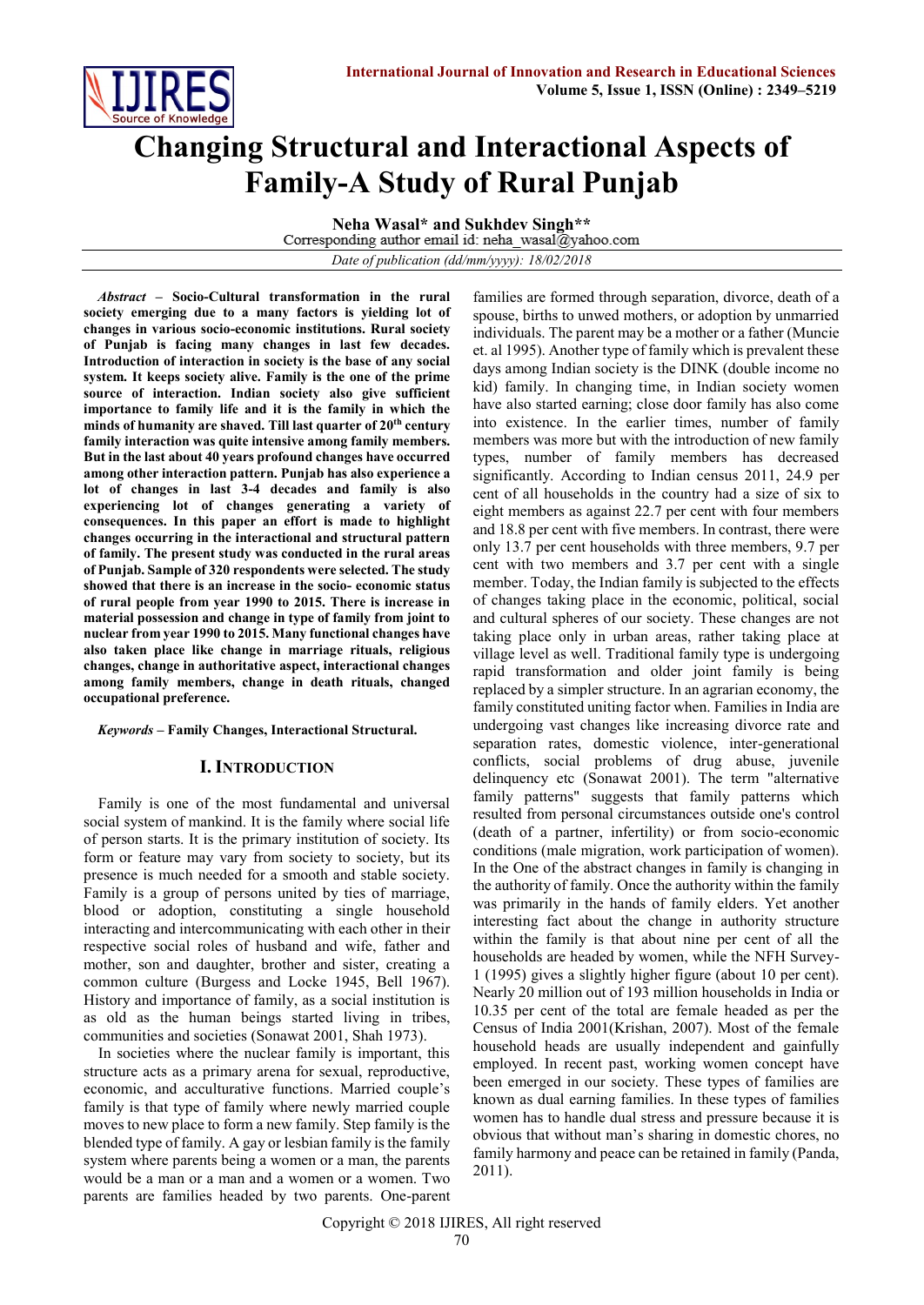

# **Changing Structural and Interactional Aspects of Family-A Study of Rural Punjab**

**Neha Wasal\* and Sukhdev Singh\*\***<br>Corresponding author email id: neha wasal@yahoo.com

*Date of publication (dd/mm/yyyy): 18/02/2018*

*Abstract* **– Socio-Cultural transformation in the rural society emerging due to a many factors is yielding lot of changes in various socio-economic institutions. Rural society of Punjab is facing many changes in last few decades. Introduction of interaction in society is the base of any social system. It keeps society alive. Family is the one of the prime source of interaction. Indian society also give sufficient importance to family life and it is the family in which the minds of humanity are shaved. Till last quarter of 20th century family interaction was quite intensive among family members. But in the last about 40 years profound changes have occurred among other interaction pattern. Punjab has also experience a lot of changes in last 3-4 decades and family is also experiencing lot of changes generating a variety of consequences. In this paper an effort is made to highlight changes occurring in the interactional and structural pattern of family. The present study was conducted in the rural areas of Punjab. Sample of 320 respondents were selected. The study showed that there is an increase in the socio- economic status of rural people from year 1990 to 2015. There is increase in material possession and change in type of family from joint to nuclear from year 1990 to 2015. Many functional changes have also taken place like change in marriage rituals, religious changes, change in authoritative aspect, interactional changes among family members, change in death rituals, changed occupational preference.** 

*Keywords* **– Family Changes, Interactional Structural.**

# **I. INTRODUCTION**

Family is one of the most fundamental and universal social system of mankind. It is the family where social life of person starts. It is the primary institution of society. Its form or feature may vary from society to society, but its presence is much needed for a smooth and stable society. Family is a group of persons united by ties of marriage, blood or adoption, constituting a single household interacting and intercommunicating with each other in their respective social roles of husband and wife, father and mother, son and daughter, brother and sister, creating a common culture (Burgess and Locke 1945, Bell 1967). History and importance of family, as a social institution is as old as the human beings started living in tribes, communities and societies (Sonawat 2001, Shah 1973).

In societies where the nuclear family is important, this structure acts as a primary arena for sexual, reproductive, economic, and acculturative functions. Married couple's family is that type of family where newly married couple moves to new place to form a new family. Step family is the blended type of family. A gay or lesbian family is the family system where parents being a women or a man, the parents would be a man or a man and a women or a women. Two parents are families headed by two parents. One-parent

families are formed through separation, divorce, death of a spouse, births to unwed mothers, or adoption by unmarried individuals. The parent may be a mother or a father (Muncie et. al 1995). Another type of family which is prevalent these days among Indian society is the DINK (double income no kid) family. In changing time, in Indian society women have also started earning; close door family has also come into existence. In the earlier times, number of family members was more but with the introduction of new family types, number of family members has decreased significantly. According to Indian census 2011, 24.9 per cent of all households in the country had a size of six to eight members as against 22.7 per cent with four members and 18.8 per cent with five members. In contrast, there were only 13.7 per cent households with three members, 9.7 per cent with two members and 3.7 per cent with a single member. Today, the Indian family is subjected to the effects of changes taking place in the economic, political, social and cultural spheres of our society. These changes are not taking place only in urban areas, rather taking place at village level as well. Traditional family type is undergoing rapid transformation and older joint family is being replaced by a simpler structure. In an agrarian economy, the family constituted uniting factor when. Families in India are undergoing vast changes like increasing divorce rate and separation rates, domestic violence, inter-generational conflicts, social problems of drug abuse, juvenile delinquency etc (Sonawat 2001). The term "alternative family patterns" suggests that family patterns which resulted from personal circumstances outside one's control (death of a partner, infertility) or from socio-economic conditions (male migration, work participation of women). In the One of the abstract changes in family is changing in the authority of family. Once the authority within the family was primarily in the hands of family elders. Yet another interesting fact about the change in authority structure within the family is that about nine per cent of all the households are headed by women, while the NFH Survey-1 (1995) gives a slightly higher figure (about 10 per cent). Nearly 20 million out of 193 million households in India or 10.35 per cent of the total are female headed as per the Census of India 2001(Krishan, 2007). Most of the female household heads are usually independent and gainfully employed. In recent past, working women concept have been emerged in our society. These types of families are known as dual earning families. In these types of families women has to handle dual stress and pressure because it is obvious that without man's sharing in domestic chores, no family harmony and peace can be retained in family (Panda, 2011).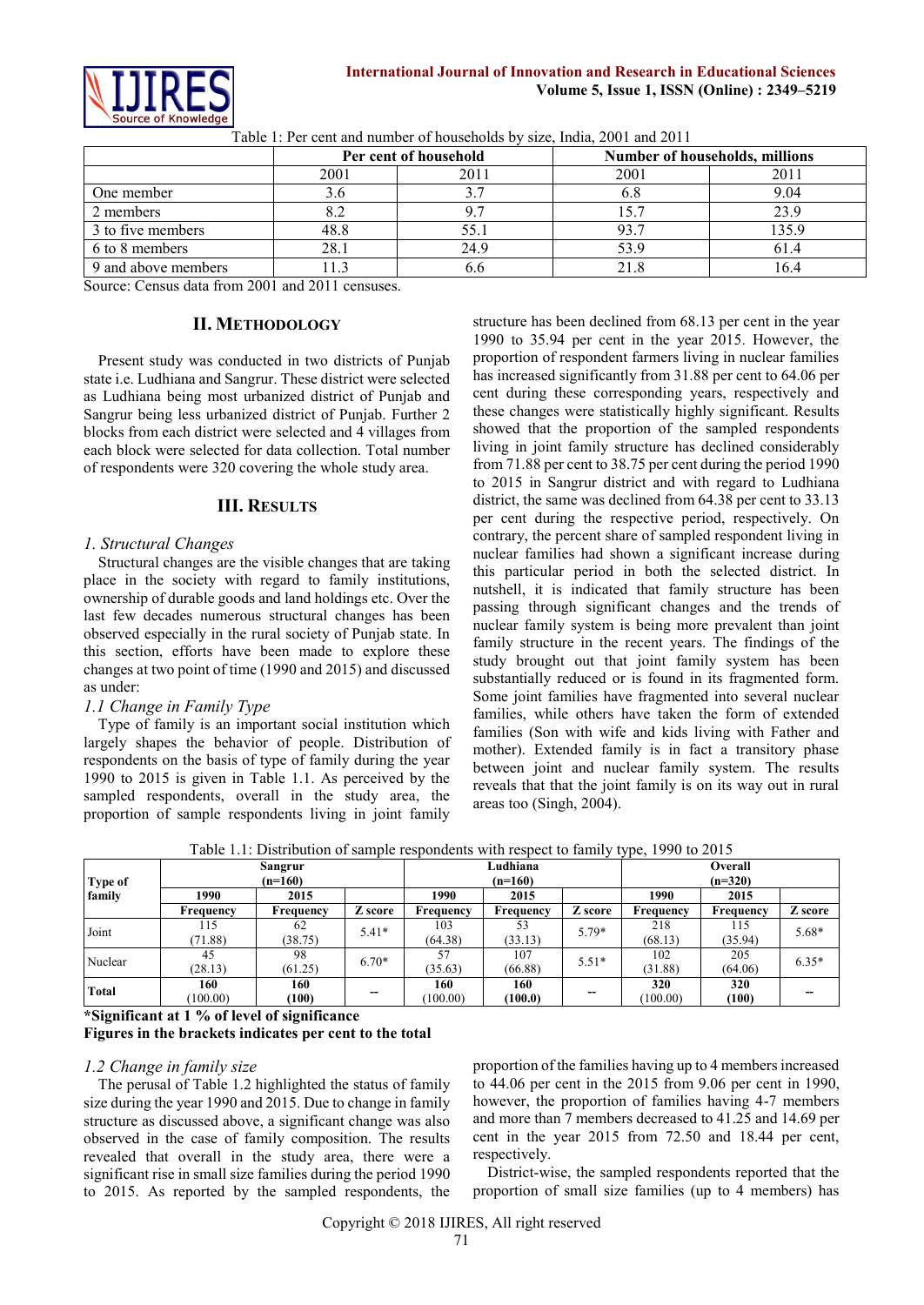

Table 1: Per cent and number of households by size, India, 2001 and 2011

|                     |      | Per cent of household |      | Number of households, millions |
|---------------------|------|-----------------------|------|--------------------------------|
|                     | 2001 | 2011                  | 2001 | 201                            |
| One member          | 3.6  |                       | 6.8  | 9.04                           |
| 2 members           |      |                       | 5.7  |                                |
| 3 to five members   | 48.8 |                       | 93.7 |                                |
| 6 to 8 members      | 28.1 | 24 9                  | 53.9 |                                |
| 9 and above members |      |                       |      |                                |

Source: Census data from 2001 and 2011 censuses.

#### **II. METHODOLOGY**

Present study was conducted in two districts of Punjab state i.e. Ludhiana and Sangrur. These district were selected as Ludhiana being most urbanized district of Punjab and Sangrur being less urbanized district of Punjab. Further 2 blocks from each district were selected and 4 villages from each block were selected for data collection. Total number of respondents were 320 covering the whole study area.

#### **III. RESULTS**

#### *1. Structural Changes*

Structural changes are the visible changes that are taking place in the society with regard to family institutions, ownership of durable goods and land holdings etc. Over the last few decades numerous structural changes has been observed especially in the rural society of Punjab state. In this section, efforts have been made to explore these changes at two point of time (1990 and 2015) and discussed as under:

#### *1.1 Change in Family Type*

Type of family is an important social institution which largely shapes the behavior of people. Distribution of respondents on the basis of type of family during the year 1990 to 2015 is given in Table 1.1. As perceived by the sampled respondents, overall in the study area, the proportion of sample respondents living in joint family

structure has been declined from 68.13 per cent in the year 1990 to 35.94 per cent in the year 2015. However, the proportion of respondent farmers living in nuclear families has increased significantly from 31.88 per cent to 64.06 per cent during these corresponding years, respectively and these changes were statistically highly significant. Results showed that the proportion of the sampled respondents living in joint family structure has declined considerably from 71.88 per cent to 38.75 per cent during the period 1990 to 2015 in Sangrur district and with regard to Ludhiana district, the same was declined from 64.38 per cent to 33.13 per cent during the respective period, respectively. On contrary, the percent share of sampled respondent living in nuclear families had shown a significant increase during this particular period in both the selected district. In nutshell, it is indicated that family structure has been passing through significant changes and the trends of nuclear family system is being more prevalent than joint family structure in the recent years. The findings of the study brought out that joint family system has been substantially reduced or is found in its fragmented form. Some joint families have fragmented into several nuclear families, while others have taken the form of extended families (Son with wife and kids living with Father and mother). Extended family is in fact a transitory phase between joint and nuclear family system. The results reveals that that the joint family is on its way out in rural areas too (Singh, 2004).

Table 1.1: Distribution of sample respondents with respect to family type, 1990 to 2015

| Type of      |                  | Sangrur<br>$(n=160)$ |         | Ludhiana<br>$(n=160)$ | .         | Overall<br>$(n=320)$ |              |           |         |  |
|--------------|------------------|----------------------|---------|-----------------------|-----------|----------------------|--------------|-----------|---------|--|
| family       | 2015<br>1990     |                      |         | 2015<br>1990          |           |                      | 1990<br>2015 |           |         |  |
|              | <b>Frequency</b> | Frequency            | Z score | Frequency             | Frequency | Z score              | Frequency    | Frequency | Z score |  |
| Joint        | 115              | 62<br>$5.41*$        |         | 103                   | 53        | 5.79*                | 218          | 115       | $5.68*$ |  |
|              | (71.88)          | (38.75)              |         | (64.38)               | (33.13)   |                      | (68.13)      | (35.94)   |         |  |
| Nuclear      | 45               | 98                   | $6.70*$ | 57                    | 107       | $5.51*$              | 102          | 205       | $6.35*$ |  |
|              | (28.13)          | (61.25)              |         | (35.63)               | (66.88)   |                      | (31.88)      | (64.06)   |         |  |
| <b>Total</b> | 160              | 160                  |         | 160                   | 160       |                      | 320          | 320       |         |  |
|              | (100.00)         | (100)                | --      | (100.00)              | (100.0)   | --                   | (100.00)     | (100)     |         |  |

**\*Significant at 1 % of level of significance Figures in the brackets indicates per cent to the total** 

# *1.2 Change in family size*

The perusal of Table 1.2 highlighted the status of family size during the year 1990 and 2015. Due to change in family structure as discussed above, a significant change was also observed in the case of family composition. The results revealed that overall in the study area, there were a significant rise in small size families during the period 1990 to 2015. As reported by the sampled respondents, the

proportion of the families having up to 4 members increased to 44.06 per cent in the 2015 from 9.06 per cent in 1990, however, the proportion of families having 4-7 members and more than 7 members decreased to 41.25 and 14.69 per cent in the year 2015 from 72.50 and 18.44 per cent, respectively.

District-wise, the sampled respondents reported that the proportion of small size families (up to 4 members) has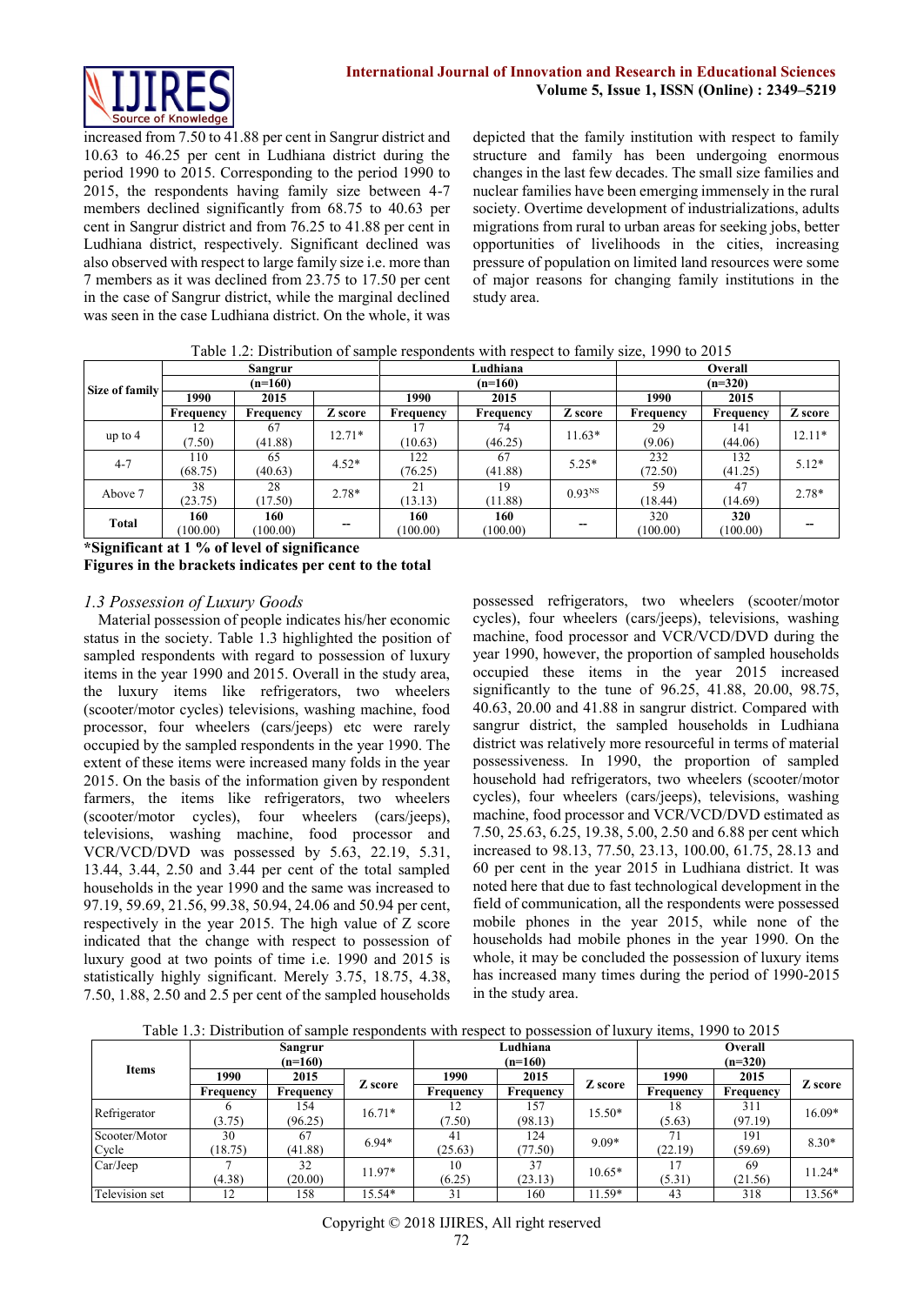

increased from 7.50 to 41.88 per cent in Sangrur district and 10.63 to 46.25 per cent in Ludhiana district during the period 1990 to 2015. Corresponding to the period 1990 to 2015, the respondents having family size between 4-7 members declined significantly from 68.75 to 40.63 per cent in Sangrur district and from 76.25 to 41.88 per cent in Ludhiana district, respectively. Significant declined was also observed with respect to large family size i.e. more than 7 members as it was declined from 23.75 to 17.50 per cent in the case of Sangrur district, while the marginal declined was seen in the case Ludhiana district. On the whole, it was

depicted that the family institution with respect to family structure and family has been undergoing enormous changes in the last few decades. The small size families and nuclear families have been emerging immensely in the rural society. Overtime development of industrializations, adults migrations from rural to urban areas for seeking jobs, better opportunities of livelihoods in the cities, increasing pressure of population on limited land resources were some of major reasons for changing family institutions in the study area.

Table 1.2: Distribution of sample respondents with respect to family size, 1990 to 2015

|                |           | Sangrur   |          |              | Ludhiana  |                    | Overall   |           |          |  |  |
|----------------|-----------|-----------|----------|--------------|-----------|--------------------|-----------|-----------|----------|--|--|
| Size of family |           | $(n=160)$ |          |              | $(n=160)$ |                    | $(n=320)$ |           |          |  |  |
|                | 1990      | 2015      |          | 1990<br>2015 |           |                    | 1990      | 2015      |          |  |  |
|                | Frequency | Frequency | Z score  | Frequency    | Frequency | Z score            | Frequency | Frequency | Z score  |  |  |
| up to $4$      |           | 67        | $12.71*$ |              | 74        | $11.63*$           | 29        | 141       | $12.11*$ |  |  |
|                | (7.50)    | (41.88)   |          | (10.63)      | (46.25)   |                    | (9.06)    | (44.06)   |          |  |  |
| $4 - 7$        | 110       | 65        | $4.52*$  | 122          | 67        | $5.25*$            | 232       | 132       | $5.12*$  |  |  |
|                | (68.75)   | (40.63)   |          | (76.25)      | (41.88)   |                    | (72.50)   | (41.25)   |          |  |  |
| Above 7        | 38        | 28        | $2.78*$  | 21           | 19        | 0.93 <sup>NS</sup> | 59        | 47        | $2.78*$  |  |  |
|                | (23.75)   | (17.50)   |          | (13.13)      | (11.88)   |                    | (18.44)   | (14.69)   |          |  |  |
| <b>Total</b>   | 160       | 160       |          | 160          | 160       |                    | 320       | 320       |          |  |  |
|                | (100.00)  | (100.00)  |          | (100.00)     | (100.00)  | --                 | (100.00)  | (100.00)  |          |  |  |

**\*Significant at 1 % of level of significance**

**Figures in the brackets indicates per cent to the total** 

# *1.3 Possession of Luxury Goods*

Material possession of people indicates his/her economic status in the society. Table 1.3 highlighted the position of sampled respondents with regard to possession of luxury items in the year 1990 and 2015. Overall in the study area, the luxury items like refrigerators, two wheelers (scooter/motor cycles) televisions, washing machine, food processor, four wheelers (cars/jeeps) etc were rarely occupied by the sampled respondents in the year 1990. The extent of these items were increased many folds in the year 2015. On the basis of the information given by respondent farmers, the items like refrigerators, two wheelers (scooter/motor cycles), four wheelers (cars/jeeps), televisions, washing machine, food processor and VCR/VCD/DVD was possessed by 5.63, 22.19, 5.31, 13.44, 3.44, 2.50 and 3.44 per cent of the total sampled households in the year 1990 and the same was increased to 97.19, 59.69, 21.56, 99.38, 50.94, 24.06 and 50.94 per cent, respectively in the year 2015. The high value of Z score indicated that the change with respect to possession of luxury good at two points of time i.e. 1990 and 2015 is statistically highly significant. Merely 3.75, 18.75, 4.38, 7.50, 1.88, 2.50 and 2.5 per cent of the sampled households

possessed refrigerators, two wheelers (scooter/motor cycles), four wheelers (cars/jeeps), televisions, washing machine, food processor and VCR/VCD/DVD during the year 1990, however, the proportion of sampled households occupied these items in the year 2015 increased significantly to the tune of 96.25, 41.88, 20.00, 98.75, 40.63, 20.00 and 41.88 in sangrur district. Compared with sangrur district, the sampled households in Ludhiana district was relatively more resourceful in terms of material possessiveness. In 1990, the proportion of sampled household had refrigerators, two wheelers (scooter/motor cycles), four wheelers (cars/jeeps), televisions, washing machine, food processor and VCR/VCD/DVD estimated as 7.50, 25.63, 6.25, 19.38, 5.00, 2.50 and 6.88 per cent which increased to 98.13, 77.50, 23.13, 100.00, 61.75, 28.13 and 60 per cent in the year 2015 in Ludhiana district. It was noted here that due to fast technological development in the field of communication, all the respondents were possessed mobile phones in the year 2015, while none of the households had mobile phones in the year 1990. On the whole, it may be concluded the possession of luxury items has increased many times during the period of 1990-2015 in the study area.

Table 1.3: Distribution of sample respondents with respect to possession of luxury items, 1990 to 2015

|                |           | Sangrur   |          |           | Ludhiana  |          | Overall   |           |          |  |  |
|----------------|-----------|-----------|----------|-----------|-----------|----------|-----------|-----------|----------|--|--|
| <b>Items</b>   |           | $(n=160)$ |          |           | $(n=160)$ |          | $(n=320)$ |           |          |  |  |
|                | 1990      | 2015      |          | 1990      | 2015      | Z score  | 1990      | 2015      |          |  |  |
|                | Frequency | Frequency | Z score  | Frequency | Frequency |          |           | Frequency | Z score  |  |  |
| Refrigerator   |           | 154       | $16.71*$ |           | 157       | $15.50*$ | 18        | 311       | 16.09*   |  |  |
|                | (3.75)    | (96.25)   |          | (7.50)    | (98.13)   |          | (5.63)    | (97.19)   |          |  |  |
| Scooter/Motor  | 30        | 67        | $6.94*$  | 41        | 124       | $9.09*$  | 71        | 191       | $8.30*$  |  |  |
| Cycle          | (18.75)   | (41.88)   |          | (25.63)   | (77.50)   |          | (22.19)   | (59.69)   |          |  |  |
| Car/Jeep       |           | 32        | 11.97*   | 10        | 37        | $10.65*$ | 17        | 69        | $11.24*$ |  |  |
|                | (4.38)    | (20.00)   |          | (6.25)    | (23.13)   |          | (5.31)    | (21.56)   |          |  |  |
| Television set | 12        | 158       | 15.54*   | 31        | 160       | $11.59*$ | 43        | 318       | 13.56*   |  |  |

Copyright © 2018 IJIRES, All right reserved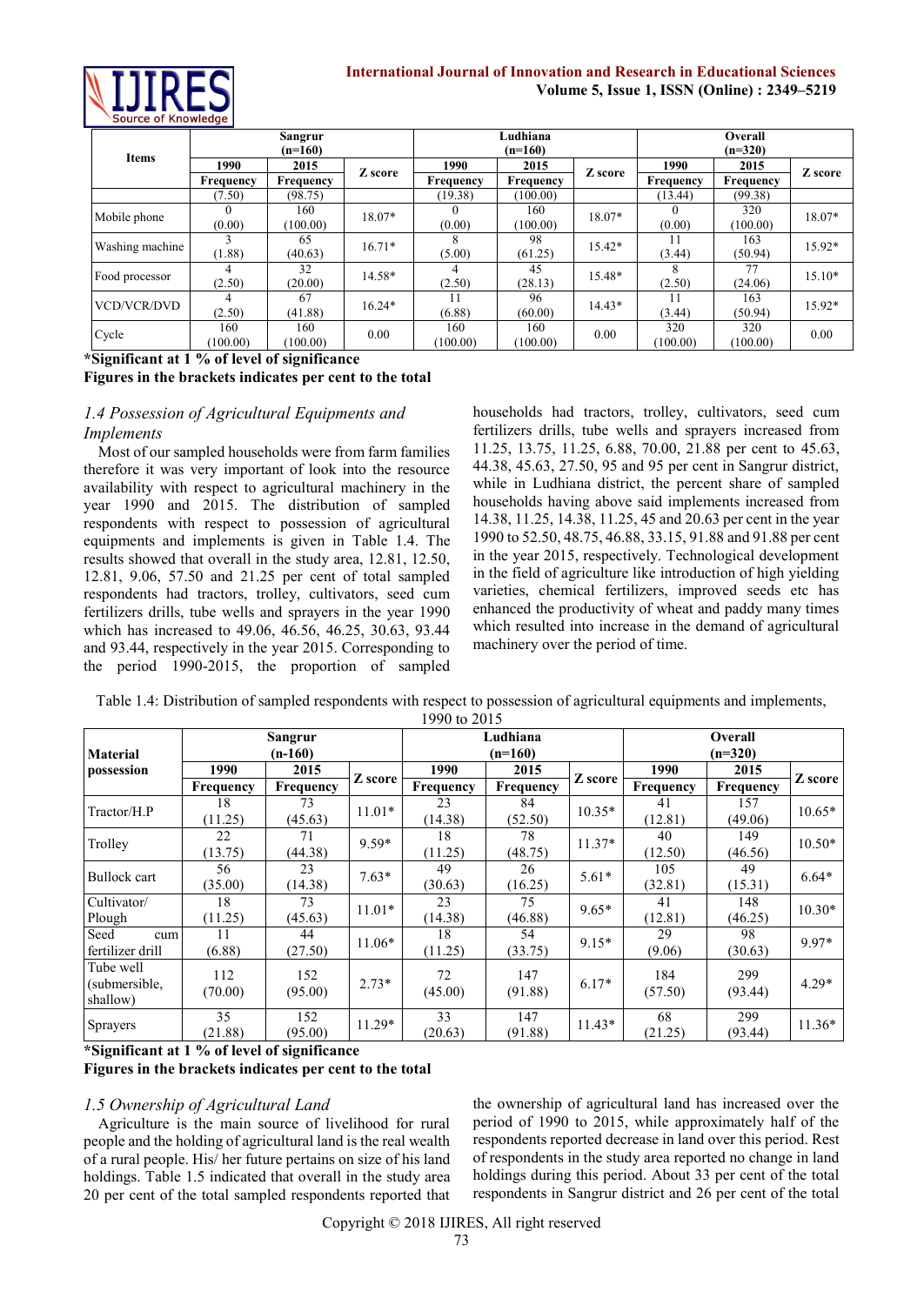

## **International Journal of Innovation and Research in Educational Sciences Volume 5, Issue 1, ISSN (Online) : 2349–5219**

| <b>Items</b>       |           | Sangrur<br>$(n=160)$ |          |                  | Ludhiana<br>$(n=160)$ |          | Overall<br>$(n=320)$ |           |          |  |
|--------------------|-----------|----------------------|----------|------------------|-----------------------|----------|----------------------|-----------|----------|--|
|                    | 1990      | 2015                 | Z score  | 1990             | 2015                  | Z score  | 1990                 | 2015      | Z score  |  |
|                    | Frequency | Frequency            |          | <b>Frequency</b> | Frequency             |          | Frequency            | Frequency |          |  |
|                    | (7.50)    | (98.75)              |          | (19.38)          | (100.00)              |          | (13.44)              | (99.38)   |          |  |
| Mobile phone       |           | 160                  | 18.07*   |                  | 160                   | $18.07*$ |                      | 320       | 18.07*   |  |
|                    | (0.00)    | (100.00)             |          | (0.00)           | (100.00)              |          | (0.00)               | (100.00)  |          |  |
| Washing machine    |           | 65                   | $16.71*$ | 8                | 98                    | $15.42*$ | 11                   | 163       | 15.92*   |  |
|                    | (1.88)    | (40.63)              |          | (5.00)           | (61.25)               |          | (3.44)               | (50.94)   |          |  |
| Food processor     |           | 32                   | 14.58*   |                  | 45                    | 15.48*   |                      | 77        | $15.10*$ |  |
|                    | (2.50)    | (20.00)              |          | (2.50)           | (28.13)               |          | (2.50)               | (24.06)   |          |  |
| <b>VCD/VCR/DVD</b> | 4         | 67                   | $16.24*$ |                  | 96                    | $14.43*$ |                      | 163       | 15.92*   |  |
|                    | (2.50)    | (41.88)              |          | (6.88)           | (60.00)               |          | (3.44)               | (50.94)   |          |  |
|                    | 160       | 160                  | 0.00     | 160              | 160                   | 0.00     | 320                  | 320       |          |  |
| Cycle              | (100.00)  | (100.00)             |          | (100.00)         | (100.00)              |          | (100.00)             | (100.00)  | 0.00     |  |

**\*Significant at 1 % of level of significance**

**Figures in the brackets indicates per cent to the total** 

# *1.4 Possession of Agricultural Equipments and Implements*

Most of our sampled households were from farm families therefore it was very important of look into the resource availability with respect to agricultural machinery in the year 1990 and 2015. The distribution of sampled respondents with respect to possession of agricultural equipments and implements is given in Table 1.4. The results showed that overall in the study area, 12.81, 12.50, 12.81, 9.06, 57.50 and 21.25 per cent of total sampled respondents had tractors, trolley, cultivators, seed cum fertilizers drills, tube wells and sprayers in the year 1990 which has increased to 49.06, 46.56, 46.25, 30.63, 93.44 and 93.44, respectively in the year 2015. Corresponding to the period 1990-2015, the proportion of sampled households had tractors, trolley, cultivators, seed cum fertilizers drills, tube wells and sprayers increased from 11.25, 13.75, 11.25, 6.88, 70.00, 21.88 per cent to 45.63, 44.38, 45.63, 27.50, 95 and 95 per cent in Sangrur district, while in Ludhiana district, the percent share of sampled households having above said implements increased from 14.38, 11.25, 14.38, 11.25, 45 and 20.63 per cent in the year 1990 to 52.50, 48.75, 46.88, 33.15, 91.88 and 91.88 per cent in the year 2015, respectively. Technological development in the field of agriculture like introduction of high yielding varieties, chemical fertilizers, improved seeds etc has enhanced the productivity of wheat and paddy many times which resulted into increase in the demand of agricultural machinery over the period of time.

| <b>Material</b>                        |                | <b>Sangrur</b><br>$(n-160)$ |          |               | Ludhiana<br>$(n=160)$ |          | <b>Overall</b><br>$(n=320)$ |                |          |  |
|----------------------------------------|----------------|-----------------------------|----------|---------------|-----------------------|----------|-----------------------------|----------------|----------|--|
| possession                             | 1990           | 2015                        |          | 1990<br>2015  |                       | Z score  | 1990                        | 2015           | Z score  |  |
|                                        | Frequency      | Frequency                   | Z score  | Frequency     | Frequency             |          | Frequency                   | Frequency      |          |  |
| Tractor/H.P                            | 18<br>(11.25)  | 73<br>(45.63)               | $11.01*$ | 23<br>(14.38) | 84<br>(52.50)         | $10.35*$ | 41<br>(12.81)               | 157<br>(49.06) | $10.65*$ |  |
| Trolley                                | 22<br>(13.75)  | 71<br>(44.38)               | $9.59*$  | 18<br>(11.25) | 78<br>(48.75)         | $11.37*$ | 40<br>(12.50)               | 149<br>(46.56) | $10.50*$ |  |
| Bullock cart                           | 56<br>(35.00)  | 23<br>(14.38)               | $7.63*$  | 49<br>(30.63) | 26<br>(16.25)         | $5.61*$  | 105<br>(32.81)              | 49<br>(15.31)  | $6.64*$  |  |
| Cultivator/<br>Plough                  | 18<br>(11.25)  | 73<br>(45.63)               | $11.01*$ | 23<br>(14.38) | 75<br>(46.88)         | $9.65*$  | 41<br>(12.81)               | 148<br>(46.25) | $10.30*$ |  |
| Seed<br>cum<br>fertilizer drill        | (6.88)         | 44<br>(27.50)               | $11.06*$ | 18<br>(11.25) | 54<br>(33.75)         | $9.15*$  | 29<br>(9.06)                | 98<br>(30.63)  | 9.97*    |  |
| Tube well<br>(submersible,<br>shallow) | 112<br>(70.00) | 152<br>(95.00)              | $2.73*$  | 72<br>(45.00) | 147<br>(91.88)        | $6.17*$  | 184<br>(57.50)              | 299<br>(93.44) | $4.29*$  |  |
| Sprayers                               | 35<br>(21.88)  | 152<br>(95.00)              | $11.29*$ | 33<br>(20.63) | 147<br>(91.88)        | $11.43*$ | 68<br>(21.25)               | 299<br>(93.44) | $11.36*$ |  |

#### Table 1.4: Distribution of sampled respondents with respect to possession of agricultural equipments and implements, 1990 to 2015

**\*Significant at 1 % of level of significance**

#### **Figures in the brackets indicates per cent to the total**

# *1.5 Ownership of Agricultural Land*

Agriculture is the main source of livelihood for rural people and the holding of agricultural land is the real wealth of a rural people. His/ her future pertains on size of his land holdings. Table 1.5 indicated that overall in the study area 20 per cent of the total sampled respondents reported that the ownership of agricultural land has increased over the period of 1990 to 2015, while approximately half of the respondents reported decrease in land over this period. Rest of respondents in the study area reported no change in land holdings during this period. About 33 per cent of the total respondents in Sangrur district and 26 per cent of the total

Copyright © 2018 IJIRES, All right reserved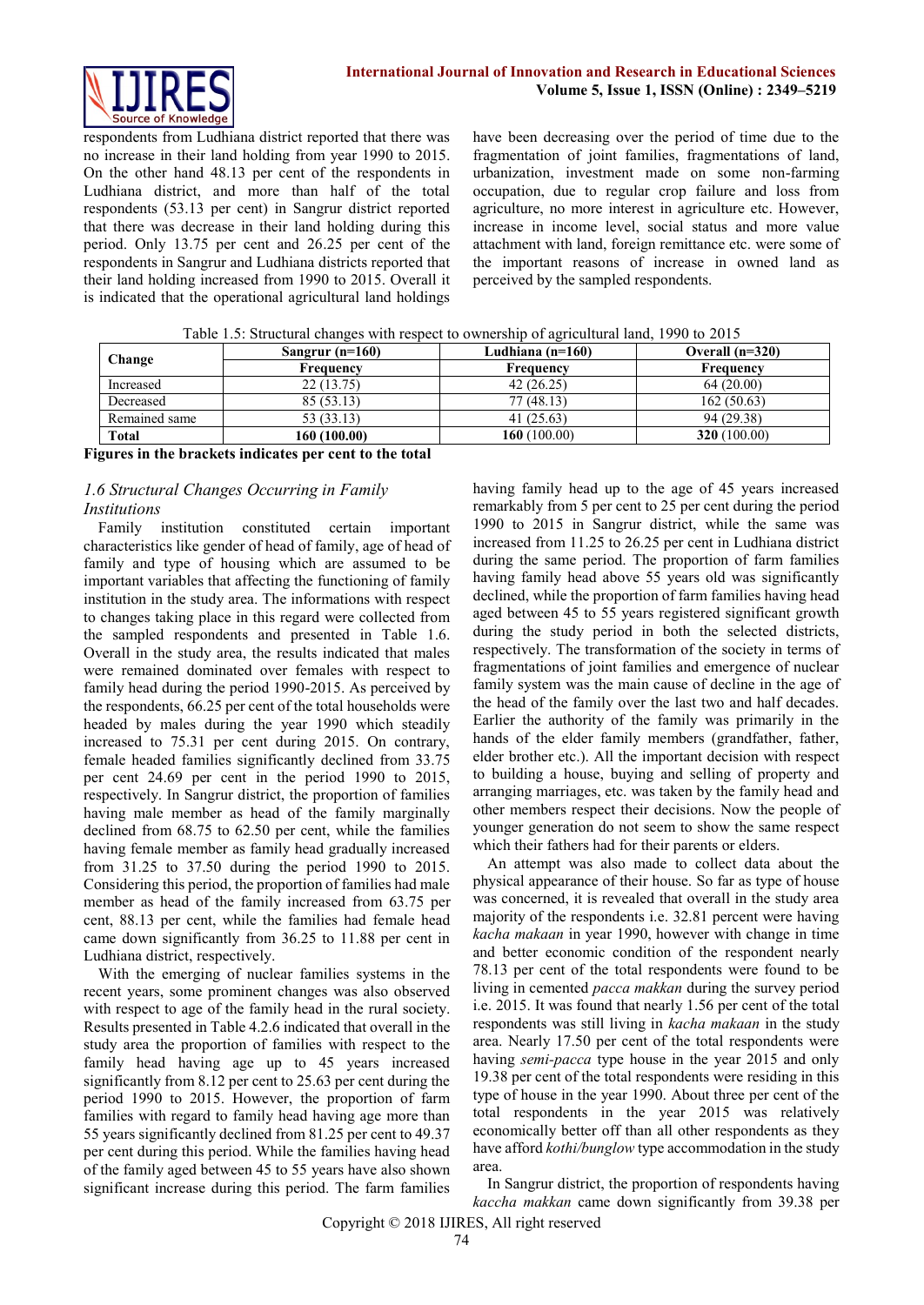

respondents from Ludhiana district reported that there was no increase in their land holding from year 1990 to 2015. On the other hand 48.13 per cent of the respondents in Ludhiana district, and more than half of the total respondents (53.13 per cent) in Sangrur district reported that there was decrease in their land holding during this period. Only 13.75 per cent and 26.25 per cent of the respondents in Sangrur and Ludhiana districts reported that their land holding increased from 1990 to 2015. Overall it is indicated that the operational agricultural land holdings

have been decreasing over the period of time due to the fragmentation of joint families, fragmentations of land, urbanization, investment made on some non-farming occupation, due to regular crop failure and loss from agriculture, no more interest in agriculture etc. However, increase in income level, social status and more value attachment with land, foreign remittance etc. were some of the important reasons of increase in owned land as perceived by the sampled respondents.

| Table 1.5: Structural changes with respect to ownership of agricultural land, 1990 to 2015 |
|--------------------------------------------------------------------------------------------|
|                                                                                            |

| Change        | Sangrur $(n=160)$ | Ludhiana $(n=160)$ | Overall $(n=320)$ |
|---------------|-------------------|--------------------|-------------------|
|               | Frequency         | Frequency          | Frequency         |
| Increased     | 22 (13.75)        | 42(26.25)          | 64(20.00)         |
| Decreased     | 85 (53.13)        | 77 (48.13)         | 162(50.63)        |
| Remained same | 53 (33.13)        | 41(25.63)          | 94 (29.38)        |
| <b>Total</b>  | 160 (100.00)      | 160 (100.00)       | 320(100.00)       |

**Figures in the brackets indicates per cent to the total** 

# *1.6 Structural Changes Occurring in Family Institutions*

Family institution constituted certain important characteristics like gender of head of family, age of head of family and type of housing which are assumed to be important variables that affecting the functioning of family institution in the study area. The informations with respect to changes taking place in this regard were collected from the sampled respondents and presented in Table 1.6. Overall in the study area, the results indicated that males were remained dominated over females with respect to family head during the period 1990-2015. As perceived by the respondents, 66.25 per cent of the total households were headed by males during the year 1990 which steadily increased to 75.31 per cent during 2015. On contrary, female headed families significantly declined from 33.75 per cent 24.69 per cent in the period 1990 to 2015, respectively. In Sangrur district, the proportion of families having male member as head of the family marginally declined from 68.75 to 62.50 per cent, while the families having female member as family head gradually increased from 31.25 to 37.50 during the period 1990 to 2015. Considering this period, the proportion of families had male member as head of the family increased from 63.75 per cent, 88.13 per cent, while the families had female head came down significantly from 36.25 to 11.88 per cent in Ludhiana district, respectively.

With the emerging of nuclear families systems in the recent years, some prominent changes was also observed with respect to age of the family head in the rural society. Results presented in Table 4.2.6 indicated that overall in the study area the proportion of families with respect to the family head having age up to 45 years increased significantly from 8.12 per cent to 25.63 per cent during the period 1990 to 2015. However, the proportion of farm families with regard to family head having age more than 55 years significantly declined from 81.25 per cent to 49.37 per cent during this period. While the families having head of the family aged between 45 to 55 years have also shown significant increase during this period. The farm families having family head up to the age of 45 years increased remarkably from 5 per cent to 25 per cent during the period 1990 to 2015 in Sangrur district, while the same was increased from 11.25 to 26.25 per cent in Ludhiana district during the same period. The proportion of farm families having family head above 55 years old was significantly declined, while the proportion of farm families having head aged between 45 to 55 years registered significant growth during the study period in both the selected districts, respectively. The transformation of the society in terms of fragmentations of joint families and emergence of nuclear family system was the main cause of decline in the age of the head of the family over the last two and half decades. Earlier the authority of the family was primarily in the hands of the elder family members (grandfather, father, elder brother etc.). All the important decision with respect to building a house, buying and selling of property and arranging marriages, etc. was taken by the family head and other members respect their decisions. Now the people of younger generation do not seem to show the same respect which their fathers had for their parents or elders.

An attempt was also made to collect data about the physical appearance of their house. So far as type of house was concerned, it is revealed that overall in the study area majority of the respondents i.e. 32.81 percent were having *kacha makaan* in year 1990, however with change in time and better economic condition of the respondent nearly 78.13 per cent of the total respondents were found to be living in cemented *pacca makkan* during the survey period i.e. 2015. It was found that nearly 1.56 per cent of the total respondents was still living in *kacha makaan* in the study area. Nearly 17.50 per cent of the total respondents were having *semi-pacca* type house in the year 2015 and only 19.38 per cent of the total respondents were residing in this type of house in the year 1990. About three per cent of the total respondents in the year 2015 was relatively economically better off than all other respondents as they have afford *kothi/bunglow* type accommodation in the study area.

In Sangrur district, the proportion of respondents having *kaccha makkan* came down significantly from 39.38 per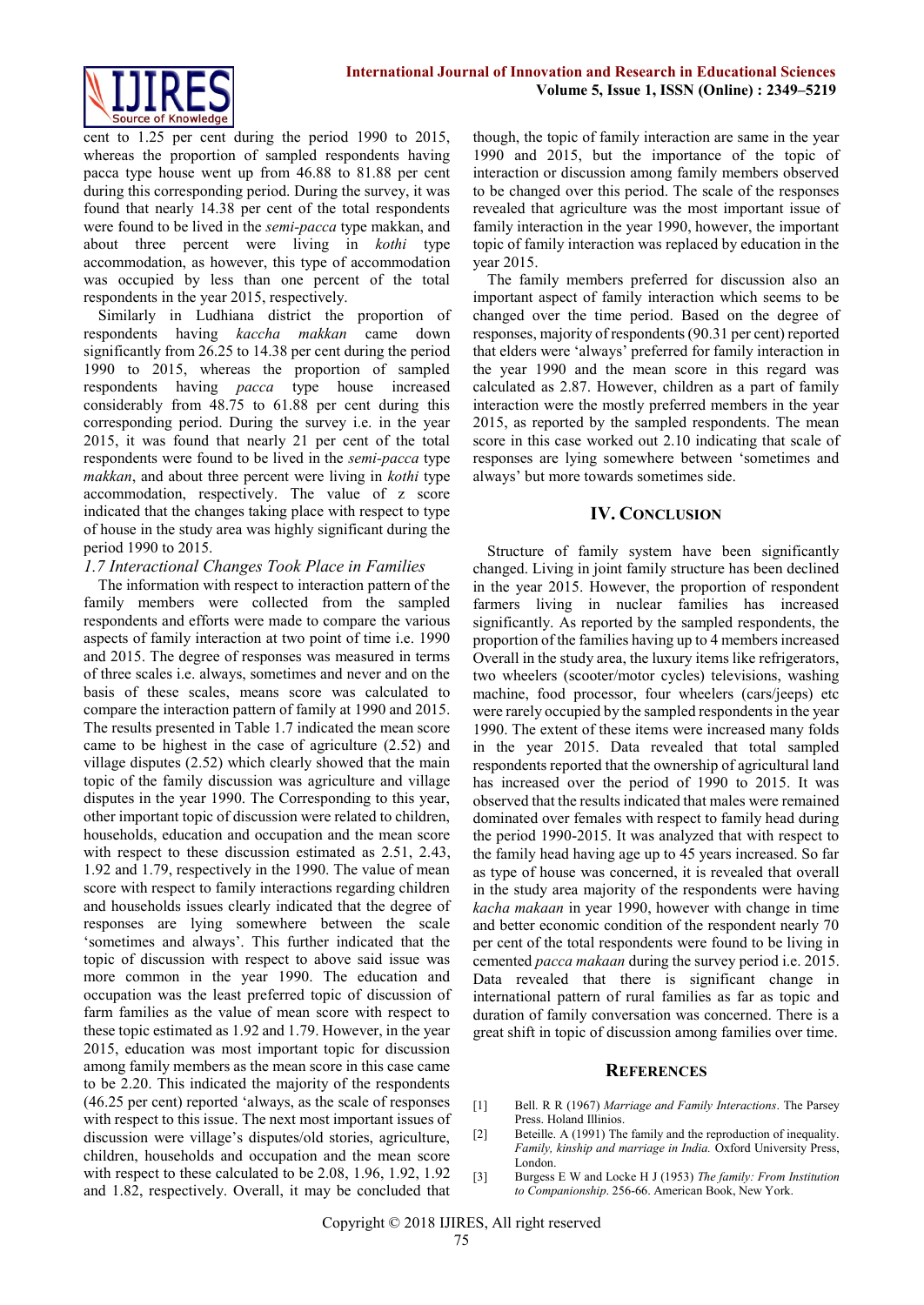

cent to 1.25 per cent during the period 1990 to 2015, whereas the proportion of sampled respondents having pacca type house went up from 46.88 to 81.88 per cent during this corresponding period. During the survey, it was found that nearly 14.38 per cent of the total respondents were found to be lived in the *semi-pacca* type makkan, and about three percent were living in *kothi* type accommodation, as however, this type of accommodation was occupied by less than one percent of the total respondents in the year 2015, respectively.

Similarly in Ludhiana district the proportion of respondents having *kaccha makkan* came down significantly from 26.25 to 14.38 per cent during the period 1990 to 2015, whereas the proportion of sampled respondents having *pacca* type house increased considerably from 48.75 to 61.88 per cent during this corresponding period. During the survey i.e. in the year 2015, it was found that nearly 21 per cent of the total respondents were found to be lived in the *semi-pacca* type *makkan*, and about three percent were living in *kothi* type accommodation, respectively. The value of z score indicated that the changes taking place with respect to type of house in the study area was highly significant during the period 1990 to 2015.

#### *1.7 Interactional Changes Took Place in Families*

The information with respect to interaction pattern of the family members were collected from the sampled respondents and efforts were made to compare the various aspects of family interaction at two point of time i.e. 1990 and 2015. The degree of responses was measured in terms of three scales i.e. always, sometimes and never and on the basis of these scales, means score was calculated to compare the interaction pattern of family at 1990 and 2015. The results presented in Table 1.7 indicated the mean score came to be highest in the case of agriculture (2.52) and village disputes (2.52) which clearly showed that the main topic of the family discussion was agriculture and village disputes in the year 1990. The Corresponding to this year, other important topic of discussion were related to children, households, education and occupation and the mean score with respect to these discussion estimated as 2.51, 2.43, 1.92 and 1.79, respectively in the 1990. The value of mean score with respect to family interactions regarding children and households issues clearly indicated that the degree of responses are lying somewhere between the scale 'sometimes and always'. This further indicated that the topic of discussion with respect to above said issue was more common in the year 1990. The education and occupation was the least preferred topic of discussion of farm families as the value of mean score with respect to these topic estimated as 1.92 and 1.79. However, in the year 2015, education was most important topic for discussion among family members as the mean score in this case came to be 2.20. This indicated the majority of the respondents (46.25 per cent) reported 'always, as the scale of responses with respect to this issue. The next most important issues of discussion were village's disputes/old stories, agriculture, children, households and occupation and the mean score with respect to these calculated to be 2.08, 1.96, 1.92, 1.92 and 1.82, respectively. Overall, it may be concluded that

though, the topic of family interaction are same in the year 1990 and 2015, but the importance of the topic of interaction or discussion among family members observed to be changed over this period. The scale of the responses revealed that agriculture was the most important issue of family interaction in the year 1990, however, the important topic of family interaction was replaced by education in the year 2015.

The family members preferred for discussion also an important aspect of family interaction which seems to be changed over the time period. Based on the degree of responses, majority of respondents (90.31 per cent) reported that elders were 'always' preferred for family interaction in the year 1990 and the mean score in this regard was calculated as 2.87. However, children as a part of family interaction were the mostly preferred members in the year 2015, as reported by the sampled respondents. The mean score in this case worked out 2.10 indicating that scale of responses are lying somewhere between 'sometimes and always' but more towards sometimes side.

# **IV. CONCLUSION**

Structure of family system have been significantly changed. Living in joint family structure has been declined in the year 2015. However, the proportion of respondent farmers living in nuclear families has increased significantly. As reported by the sampled respondents, the proportion of the families having up to 4 members increased Overall in the study area, the luxury items like refrigerators, two wheelers (scooter/motor cycles) televisions, washing machine, food processor, four wheelers (cars/jeeps) etc were rarely occupied by the sampled respondents in the year 1990. The extent of these items were increased many folds in the year 2015. Data revealed that total sampled respondents reported that the ownership of agricultural land has increased over the period of 1990 to 2015. It was observed that the results indicated that males were remained dominated over females with respect to family head during the period 1990-2015. It was analyzed that with respect to the family head having age up to 45 years increased. So far as type of house was concerned, it is revealed that overall in the study area majority of the respondents were having *kacha makaan* in year 1990, however with change in time and better economic condition of the respondent nearly 70 per cent of the total respondents were found to be living in cemented *pacca makaan* during the survey period i.e. 2015. Data revealed that there is significant change in international pattern of rural families as far as topic and duration of family conversation was concerned. There is a great shift in topic of discussion among families over time.

#### **REFERENCES**

- [1] Bell. R R (1967) *Marriage and Family Interactions*. The Parsey Press. Holand Illinios.
- [2] Beteille. A (1991) The family and the reproduction of inequality. *Family, kinship and marriage in India.* Oxford University Press, London.
- [3] Burgess E W and Locke H J (1953) *The family: From Institution to Companionship*. 256-66. American Book, New York.